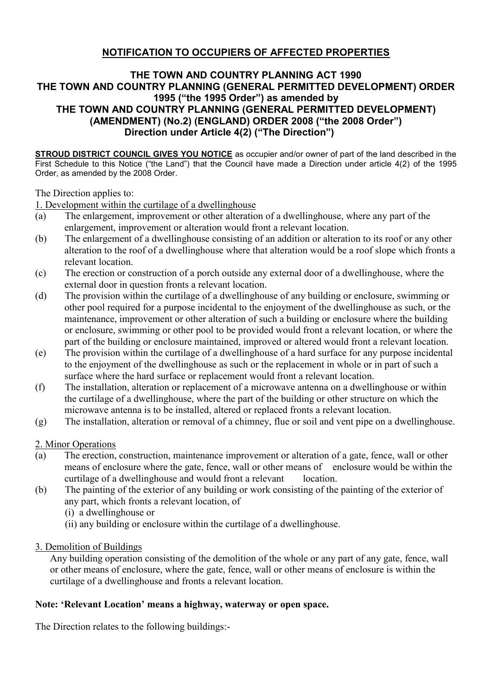## **NOTIFICATION TO OCCUPIERS OF AFFECTED PROPERTIES**

## **THE TOWN AND COUNTRY PLANNING ACT 1990 THE TOWN AND COUNTRY PLANNING (GENERAL PERMITTED DEVELOPMENT) ORDER 1995 ("the 1995 Order") as amended by THE TOWN AND COUNTRY PLANNING (GENERAL PERMITTED DEVELOPMENT) (AMENDMENT) (No.2) (ENGLAND) ORDER 2008 ("the 2008 Order") Direction under Article 4(2) ("The Direction")**

**STROUD DISTRICT COUNCIL GIVES YOU NOTICE** as occupier and/or owner of part of the land described in the First Schedule to this Notice ("the Land") that the Council have made a Direction under article 4(2) of the 1995 Order, as amended by the 2008 Order.

The Direction applies to:

1. Development within the curtilage of a dwellinghouse

- (a) The enlargement, improvement or other alteration of a dwellinghouse, where any part of the enlargement, improvement or alteration would front a relevant location.
- (b) The enlargement of a dwellinghouse consisting of an addition or alteration to its roof or any other alteration to the roof of a dwellinghouse where that alteration would be a roof slope which fronts a relevant location.
- (c) The erection or construction of a porch outside any external door of a dwellinghouse, where the external door in question fronts a relevant location.
- (d) The provision within the curtilage of a dwellinghouse of any building or enclosure, swimming or other pool required for a purpose incidental to the enjoyment of the dwellinghouse as such, or the maintenance, improvement or other alteration of such a building or enclosure where the building or enclosure, swimming or other pool to be provided would front a relevant location, or where the part of the building or enclosure maintained, improved or altered would front a relevant location.
- (e) The provision within the curtilage of a dwellinghouse of a hard surface for any purpose incidental to the enjoyment of the dwellinghouse as such or the replacement in whole or in part of such a surface where the hard surface or replacement would front a relevant location.
- (f) The installation, alteration or replacement of a microwave antenna on a dwellinghouse or within the curtilage of a dwellinghouse, where the part of the building or other structure on which the microwave antenna is to be installed, altered or replaced fronts a relevant location.
- (g) The installation, alteration or removal of a chimney, flue or soil and vent pipe on a dwellinghouse.

2. Minor Operations

- (a) The erection, construction, maintenance improvement or alteration of a gate, fence, wall or other means of enclosure where the gate, fence, wall or other means of enclosure would be within the curtilage of a dwellinghouse and would front a relevant location.
- (b) The painting of the exterior of any building or work consisting of the painting of the exterior of any part, which fronts a relevant location, of
	- (i) a dwellinghouse or
	- (ii) any building or enclosure within the curtilage of a dwellinghouse.
- 3. Demolition of Buildings

Any building operation consisting of the demolition of the whole or any part of any gate, fence, wall or other means of enclosure, where the gate, fence, wall or other means of enclosure is within the curtilage of a dwellinghouse and fronts a relevant location.

## **Note: 'Relevant Location' means a highway, waterway or open space.**

The Direction relates to the following buildings:-